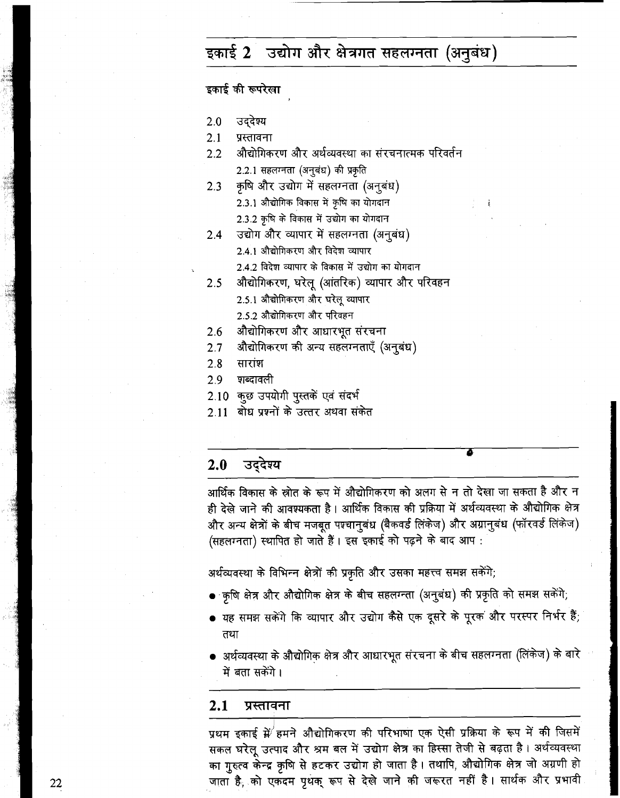# इकाई 2 उद्योग और क्षेत्रगत सहलग्नता (अनुबंध)

इकाई की रूपरेखा

 $2.0$ उद्देश्य

 $2.1$ प्रस्तावना

- औद्योगिकरण और अर्थव्यवस्था का संरचनात्मक परिवर्तन  $2.2$ 2.2.1 सहलग्नता (अनुबंध) की प्रकृति
- कृषि और उद्योग में सहलग्नता (अनूबंध)  $2.3$ 2.3.1 औद्योगिक विकास में कृषि का योगदान
	- 2.3.2 कृषि के विकास में उद्योग का योगदान
- $2.4$ उद्योग और व्यापार में सहलग्नता (अनुबंध) 2.4.1 औद्योगिकरण और विदेश व्यापार
	- 2.4.2 विदेश व्यापार के विकास में उद्योग का योगदान
- औद्योगिकरण, घरेलू (आंतरिक) व्यापार और परिवहन  $2.5$ 2.5.1 औद्योगिकरण और घरेलू व्यापार
	- 2.5.2 औद्योगिकरण और परिवहन
- औद्योगिकरण और आधारभूत संरचना 2.6
- $2.7$ औद्योगिकरण की अन्य सहलग्नताएँ (अनुबंध)
- सारांश  $2.8$
- शब्दावली 2.9
- 2.10 कुछ उपयोगी पुस्तकें एवं संदर्भ
- 2.11 बोध प्रश्नों के उत्तर अथवा संकेत

#### उद्देश्य  $2.0$

आर्थिक विकास के स्रोत के रूप में औद्योगिकरण को अलग से न तो देखा जा सकता है और न ही देखे जाने की आवश्यकता है। आर्थिक विकास की प्रक्रिया में अर्थव्यवस्था के औद्योगिक क्षेत्र और अन्य क्षेत्रों के बीच मजबूत पश्चानुबंध (बैकवर्ड लिंकेज) और अग्रानुबंध (फॉरवर्ड लिंकेज) (सहलग्नता) स्थापित हो जाते हैं। इस इकाई को पढ़ने के बाद आप:

अर्थव्यवस्था के विभिन्न क्षेत्रों की प्रकृति और उसका महत्त्व समझ सकेंगे;

- कृषि क्षेत्र और औद्योगिक क्षेत्र के बीच सहलग्न्ता (अनुबंध) की प्रकृति को समझ सकेंगे;
- यह समझ सकेंगे कि व्यापार और उद्योग कैसे एक दूसरे के पूरक और परस्पर निर्भर हैं; तथा
- अर्थव्यवस्था के औद्योगिक क्षेत्र और आधारभूत संरचना के बीच सहलग्नता (लिंकेज) के बारे में बता सकेंगे।

#### $2.1$ प्रस्तावना

प्रथम इकाई में हमने औद्योगिकरण की परिभाषा एक ऐसी प्रक्रिया के रूप में की जिसमें सकल घरेलू उत्पाद और श्रम बल में उद्योग क्षेत्र का हिस्सा तेजी से बढ़ता है। अर्थव्यवस्था का गुरुत्व केन्द्र कृषि से हटकर उद्योग हो जाता है। तथापि, औद्योगिक क्षेत्र जो अग्रणी हो जाता है, को एकदम पृथक रूप से देखे जाने की जरूरत नहीं है। सार्थक और प्रभावी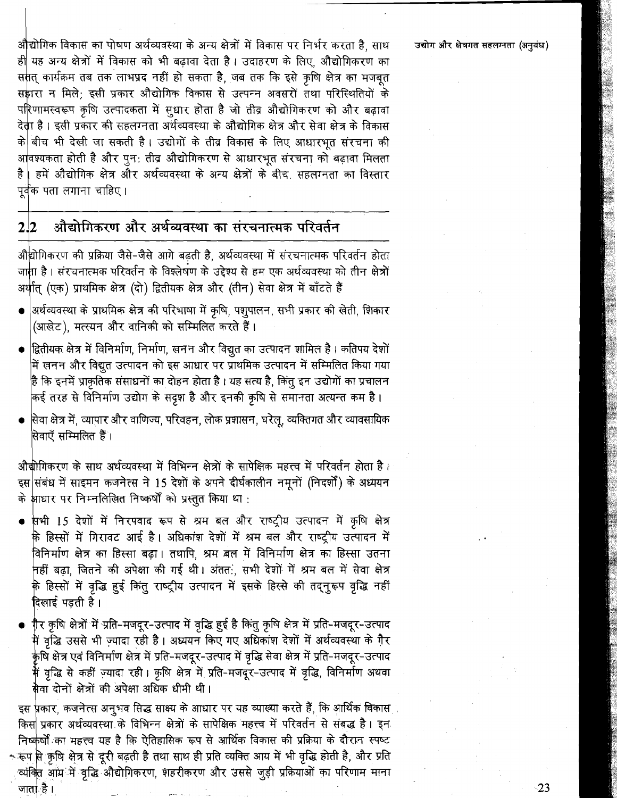औद्योगिक विकास का पोषण अर्थव्यवस्था के अन्य क्षेत्रों में विकास पर निर्भर करता है, साथ ही यह अन्य क्षेत्रों में विकास को भी बढ़ावा देता है। उदाहरण के लिए औद्योगिकरण का सुत कार्यक्रम तब तक लाभप्रद नहीं हो सकता है, जब तक कि इसे कृषि क्षेत्र का मजबत सहारा न मिले; इसी प्रकार औद्योगिक विकास से उत्पन्न अवसरों तथा परिस्थितियों के परिणामस्वरूप कृषि उत्पादकता में सुधार होता है जो तीव्र औद्योगिकरण को और बढ़ावा देता है । इसी प्रकार की सहलग्नता अर्थव्यवस्था के औद्योगिक क्षेत्र और सेवा क्षेत्र के विकास के बीच भी देखी जा सकती है। उद्योगों के तीव्र विकास के लिए आधारभुत संरचना की आवश्यकता होती है और पुन: तीव्र औद्योगिकरण से आधारभूत संरचना को बढ़ावा मिलता है । हमें औद्योगिक क्षेत्र और अर्थव्यवस्था के अन्य क्षेत्रों के बीच, सहलग्नता का विस्तार पूर्वक पता लगाना चाहिए ।

#### औद्योगिकरण और अर्थव्यवस्था का संरचनात्मक परिवर्तन  $2\sqrt{2}$

औद्योगिकरण की प्रक्रिया जैसे-जैसे आगे बढ़ती है, अर्थव्यवस्था में संरचनात्मक परिवर्तन होता जाता है। संरचनात्मक परिवर्तन के विश्लेषण के उद्देश्य से हम एक अर्थव्यवस्था को तीन क्षेत्रों अर्थात् (एक) प्राथमिक क्षेत्र (दो) द्वितीयक क्षेत्र और (तीन) सेवा क्षेत्र में बाँटते हैं

- अर्थव्यवस्था के प्राथमिक क्षेत्र की परिभाषा में कृषि, पशुपालन, सभी प्रकार की खेती, शिकार (आखेट). मत्स्यन और वानिकी को सम्मिलित करते हैं।
- |द्वितीयक क्षेत्र में विनिर्माण, निर्माण, खनन और विद्युत का उत्पादन शामिल है। कतिपय देशों में खनन और विद्युत उत्पादन को इस आधार पर प्राथमिक उत्पादन में सम्मिलित किया गया है कि इनमें प्राकृतिक संसाधनों का दोहन होता है। यह सत्य है, किंतु इन उद्योगों का प्रचालन कई तरह से विनिर्माण उद्योग के सदृश है और इनकी कृषि से समानता अत्यन्त कम है।
- सिवा क्षेत्र में, व्यापार और वाणिज्य, परिवहन, लोक प्रशासन, घरेल, व्यक्तिगत और व्यावसायिक सिवाएँ सम्मिलित हैं।

औबीगिकरण के साथ अर्थव्यवस्था में विभिन्न क्षेत्रों के सापेक्षिक महत्त्व में परिवर्तन होता है। इस संबंध में साइमन कजनेत्स ने 15 देशों के अपने दीर्घकालीन नमूनों (निदर्शों) के अध्ययन के आधार पर निम्नलिखित निष्कर्षों को प्रस्तुत किया था:

- सभी 15 देशों में निरपवाद रूप से श्रम बल और राष्ट्रीय उत्पादन में कृषि क्षेत्र के हिस्सों में गिरावट आई है। अधिकांश देशों में श्रम बल और राष्ट्रीय उत्पादन में .<br>विनिर्माण क्षेत्र का हिस्सा बढ़ा। तथापि, श्रम बल में विनिर्माण क्षेत्र का हिस्सा उतना नहीं बढ़ा, जितने की अपेक्षा की गई थी। अंतत:, सभी देशों में श्रम बल में सेवा क्षेत्र के हिस्सों में वृद्धि हुई किंतु राष्ट्रीय उत्पादन में इसके हिस्से की तद्नुरूप वृद्धि नहीं दिलाई पडती है।
- गैर कृषि क्षेत्रों में प्रति-मजदूर-उत्पाद में वृद्धि हुई है किंतु कृषि क्षेत्र में प्रति-मजदूर-उत्पाद मैं वृद्धि उससे भी ज्यादा रही है। अध्ययन किए गए अधिकांश देशों में अर्थव्यवस्था के गैर कृषि क्षेत्र एवं विनिर्माण क्षेत्र में प्रति-मजदूर-उत्पाद में वृद्धि सेवा क्षेत्र में प्रति-मजदूर-उत्पाद .<br>मैं वृद्धि से कहीं ज़्यादा रही। कृषि क्षेत्र में प्रति-मजदूर-उत्पाद में वृद्धि, विनिर्माण अथवा सैवा दोनों क्षेत्रों की अपेक्षा अधिक धीमी थी।

इस प्रकार, कजनेत्स अनुभव सिद्ध साक्ष्य के आधार पर यह व्याख्या करते हैं, कि आर्थिक विकास किस प्रकार अर्थव्यवस्था के विभिन्न क्षेत्रों के सापेक्षिक महत्त्व में परिवर्तन से संबद्ध है। इन निष्कर्षों का महत्त्व यह है कि ऐतिहासिक रूप से आर्थिक विकास की प्रक्रिया के दौरान स्पष्ट रूप से कृषि क्षेत्र से दूरी बढ़ती है तथा साथ ही प्रति व्यक्ति आय में भी वृद्धि होती है, और प्रति व्यक्ति आय में वृद्धि औद्योगिकरण, शहरीकरण और उससे जुड़ी प्रक्रियाओं का परिणाम माना जाता है ।

उद्योग और क्षेत्रगत सहलग्नता (अनुबंध)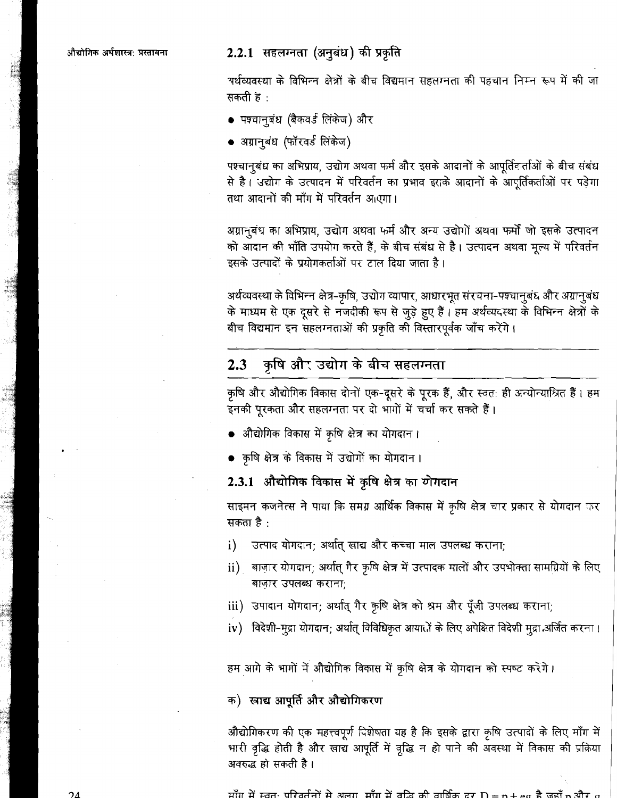औद्योगिक अर्थशास्त्र: प्रस्तावना

# 2.2.1 सहलग्नता (अनुबंध) की प्रकृति

यर्थव्यवस्था के विभिन्न क्षेत्रों के बीच विद्यमान सहलग्नता की पहचान निम्न रूप में की जा सकती है :

- पश्चानुबंध (बैकवर्ड लिंकेज) और
- अग्रानुबंध (फॉरवर्ड लिंकेज)

पश्चानुबंध का अभिप्राय, उद्योग अथवा फर्म और इसके आदानों के आपूर्तिकर्ताओं के बीच संबंध से है। उद्योग के उत्पादन में परिवर्तन का प्रभाव इराके आदानों के आपूर्तिकर्ताओं पर पड़ेगा तथा आदानों की माँग में परिवर्तन आएगा।

अग्रानुबंध का अभिप्राय, उद्योग अथवा फर्म और अन्य उद्योगों अथवा फर्मों जो इसके उत्पादन को आदान की भाँति उपयोग करते हैं, के बीच संबंध से है। उत्पादन अथवा मूल्य में परिवर्तन इसके उत्पादों के प्रयोगकर्ताओं पर टाल दिया जाता है।

अर्थव्यवस्था के विभिन्न क्षेत्र-कृषि, उद्योग व्यापार, आधारभूत संरचना-पश्चानुबंध और अग्रानुबंध के माध्यम से एक दूसरे से नजदीकी रूप से जुड़े हुए हैं। हम अर्थव्यदस्था के विभिन्न क्षेत्रों के बीच विद्यमान इन सहलग्नताओं की प्रकृति को विस्तारपूर्वक जाँच करेंगे।

#### कृषि और उद्योग के बीच सहलग्नता  $2.3$

कृषि और औद्योगिक विकास दोनों एक-दूसरे के पूरक हैं, और स्वत: ही अन्योन्याश्रित हैं। हम इनकी पूरकता और सहलग्नता पर दो भागों में चर्चा कर सकते हैं।

- औद्योगिक विकास में कृषि क्षेत्र का योगदान।
- कृषि क्षेत्र के विकास में उद्योगों का योगदान।

# 2.3.1 औद्योगिक विकास में कृषि क्षेत्र का योगदान

साइमन कजनेत्स ने पाया कि समग्र आर्थिक विकास में कृषि क्षेत्र चार प्रकार से योगदान कर सकता है :

- उत्पाद योगदान; अर्थात् खाद्य और कच्चा माल उपलब्ध कराना; i)
- बाज़ार योगदान; अर्थात् गैर कृषि क्षेत्र में उत्पादक मालों और उपभोक्ता सामग्रियों के लिए  $\mathbf{ii}$ ) बाज़ार उपलब्ध कराना;
- iii) उपादान योगदान; अर्थात् गैर कृषि क्षेत्र को श्रम और पूँजी उपलब्ध कराना;
- iv) विदेशी-मुद्रा योगदान; अर्थात् विविधिकृत आयातों के लिए अपेक्षित विदेशी मुद्रा अर्जित करना।

हम आगे के भागों में औद्योगिक विकास में कृषि क्षेत्र के योगदान को स्पष्ट करेंगे।

क) खाद्य आपूर्ति और औद्योगिकरण

औद्योगिकरण की एक महत्त्वपूर्ण दिशेषता यह है कि इसके द्वारा कृषि उत्पादों के लिए माँग में भारी वृद्धि होती है और खाद्य आपूर्ति में वृद्धि न हो पाने की अवस्था में विकास की प्रक्रिया अवरुद्ध हो सकती है।

माँग में स्वतः परिवर्तनों से अलग, माँग में वढ़ि की वार्षिक दर D = n + eq है जहाँ n और q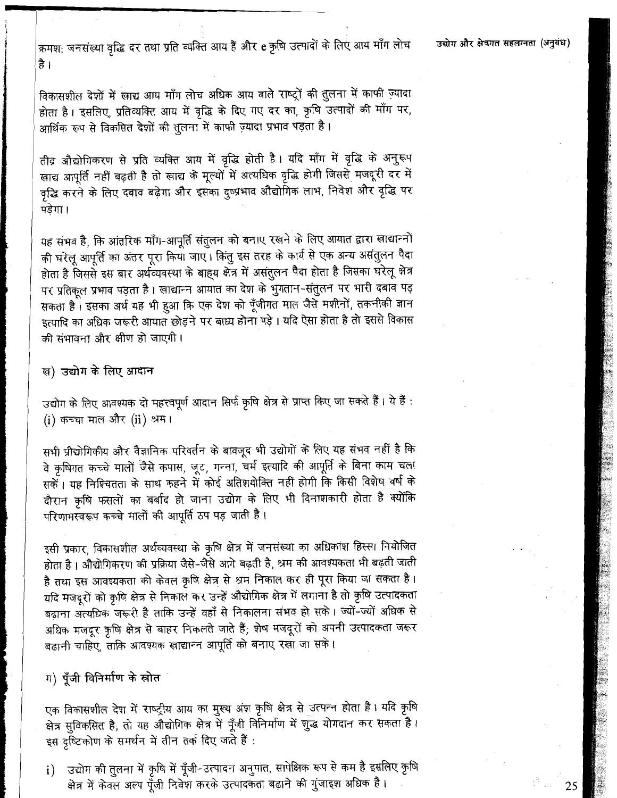क्रमश: जनसंख्या वृद्धि दर तथा प्रति व्यक्ति आय हैं और e कृषि उत्पादों के लिए आय माँग लोच है ।

विकासशील देशों में खाद्य आय माँग लोच अधिक आय वाले राष्ट्रों की तुलना में काफी ज़्यादा होता है। इसलिए, प्रतिव्यक्ति आय में वृद्धि के दिए गए दर का, कृषि उत्पादों की माँग पर, आर्थिक रूप से विकसित देशों की तुलना में काफी ज़्यादा प्रभाव पड़ता है।

तीव्र औद्योगिकरण से प्रति व्यक्ति आय में वृद्धि होती है। यदि माँग में वृद्धि के अनुरूप खाद्य आपूर्ति नहीं बढ़ती है तो खाद्य के मूल्यों में अत्यधिक वृद्धि होगी जिससे मजदूरी दर में वृद्धि करने के लिए दबाव बढ़ेगा और इसका दुष्प्रभाव औद्योगिक लाभ, निवेश और वृद्धि पर पडेगा।

यह संभव है, कि आंतरिक माँग-आपूर्ति संतुलन को बनाए रखने के लिए आयात द्वारा खाद्यान्नों की घरेलू आपूर्ति का अंतर पूरा किया जाए। किंतु इस तरह के कार्य से एक अन्य असंतुलन पैदा होता है जिससे इस बार अर्थव्यवस्था के बाह्य क्षेत्र में असंतुलन पैदा होता है जिसका घरेलू क्षेत्र पर प्रतिकूल प्रभाव पड़ता है। खाद्यान्न आयात का देश के भुगतान-संतुलन पर भारी दबाव पड़ सकता है। इसका अर्थ यह भी हुआ कि एक देश को पूँजीगत माल जैसे मशीनों, तकनीकी ज्ञान इत्यादि का अधिक जरूरी आयात छोड़ने पर बाध्य होना पड़े। यदि ऐसा होता है तो इससे विकास की संभावना और क्षीण हो जाएगी।

ख) उद्योग के लिए आदान

उद्योग के लिए आवश्यक दो महत्त्वपूर्ण आदान सिर्फ कृषि क्षेत्र से प्राप्त किए जा सकते हैं। ये हैं :  $(i)$  कच्चा माल और  $(ii)$  श्रम।

सभी प्रौद्योगिकीय और वैज्ञानिक परिवर्तन के बावजूद भी उद्योगों के लिए यह संभव नहीं है कि वे कृषिगत कच्चे मालों जैसे कपास, जूट, गन्ना, चर्म इत्यादि की आपूर्ति के बिना काम चला सकें। यह निश्चितता के साथ कहने में कोई अतिशयोक्ति नहीं होगी कि किसी विशेष वर्ष के दौरान कृषि फसलों का बर्बाद हो जाना उद्योग के लिए भी विनाशकारी होता है क्योंकि परिणामस्वरूप कच्चे मालों की आपूर्ति ठप पड़ जाती है।

इसी प्रकार, विकासशील अर्थव्यवस्था के कृषि क्षेत्र में जनसंख्या का अधिकांश हिस्सा नियोजित होता है। औद्योगिकरण की प्रक्रिया जैसे-जैसे आगे बढ़ती है, श्रम की आवश्यकता भी बढ़ती जाती है तथा इस आवश्यकता को केवल कृषि क्षेत्र से श्रम निकाल कर ही पूरा किया जा सकता है। यदि मजदूरों को कृषि क्षेत्र से निकाल कर उन्हें औद्योगिक क्षेत्र में लगाना है तो कृषि उत्पादकता बढ़ाना अत्यधिक जरूरी है ताकि उन्हें वहाँ से निकालना संभव हो सके। ज्यों-ज्यों अधिक से अधिक मजदूर कृषि क्षेत्र से बाहर निकलते जाते हैं; शेष मजदूरों को अपनी उत्पादकता जरूर बढ़ानी चाहिए, ताकि आवश्यक खाद्यान्न आपूर्ति को बनाए रखा जा सके।

ग) पूँजी विनिर्माण के स्रोत

एक विकासशील देश में राष्ट्रीय आय का मुख्य अंश कृषि क्षेत्र से उत्पन्न होता है। यदि कृषि क्षेत्र सुविकसित है, तो यह औद्योगिक क्षेत्र में पूँजी विनिर्माण में शुद्ध योगदान कर सकता है। इस दृष्टिकोण के समर्थन में तीन तर्क दिए जाते हैं :

उद्योग की तुलना में कृषि में पूँजी-उत्पादन अनुपात, सापेक्षिक रूप से कम है इसलिए कृषि  $\mathbf{i}$ क्षेत्र में केवल अल्प पूँजी निवेश करके उत्पादकता बढ़ाने की गुजाइश अधिक है।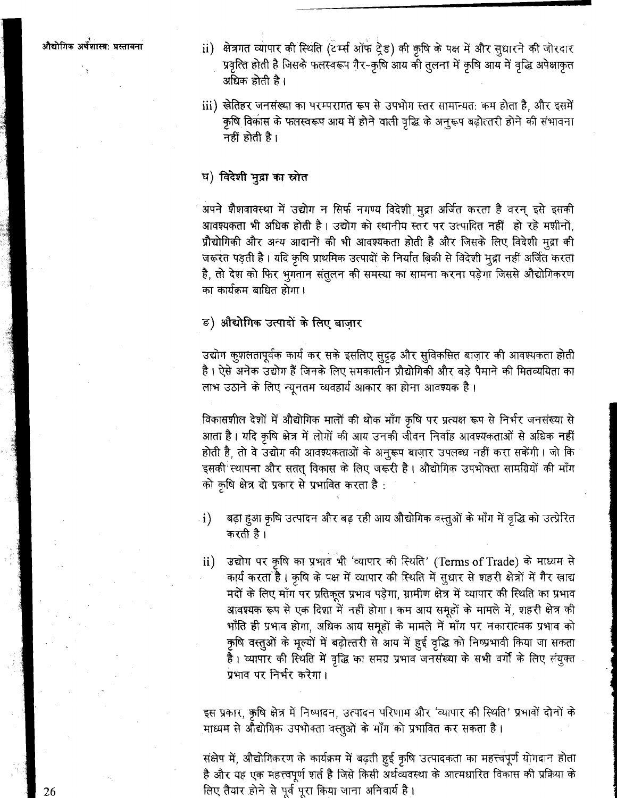,<br>औद्योगिक अर्थशास्त्र: प्रस्तावना

- ii) क्षेत्रगत व्यापार की स्थिति (टर्म्स ऑफ ट्रेड) की कृषि के पक्ष में और सुधारने की जोरदार प्रवृत्ति होती है जिसके फलस्वरूप गैर-कृषि आय की तुलना में कृषि आय में वृद्धि अपेक्षाकृत अधिक होती है।
- <u>iii) खेतिहर जनसंख्या का परम्परागत रूप से उपभोग स्तर सामान्यत: कम होता है. और इसमें </u> कृषि विकास के फलस्वरूप आय में होने वाली वृद्धि के अनुरूप बढ़ोत्तरी होने की संभावना नहीं होती है।

# घ) विदेशी मुद्रा का स्रोत

अपने शैशवावस्था में उद्योग न सिर्फ नगण्य विदेशी मुद्रा अर्जित करता है वरन् इसे इसकी आवश्यकता भी अधिक होती है। उद्योग को स्थानीय स्तर पर उत्पादित नहीं हो रहे मशीनों, प्रौद्योगिकी और अन्य आदानों की भी आवश्यकता होती है और जिसके लिए विदेशी मुद्रा की जरूरत पड़ती है। यदि कृषि प्राथमिक उत्पादों के निर्यात बिक्री से विदेशी मुद्रा नहीं अर्जित करता है, तो देश को फिर भुगतान संतुलन की समस्या का सामना करना पड़ेगा जिससे औद्योगिकरण का कार्यक्रम बाधित होगा।

ङ) औद्योगिक उत्पादों के लिए बाजार

उद्योग कुशलतापूर्वक कार्य कर सके इसलिए सुदृढ़ और सुविकसित बाज़ार की आवश्यकता होती है। ऐसे अनेक उद्योग हैं जिनके लिए समकालीन प्रौद्योगिकी और बड़े पैमाने की मितव्ययिता का लाभ उठाने के लिए न्यूनतम व्यवहार्य आकार का होना आवश्यक है।

विकासशील देशों में औद्योगिक मालों की थोक माँग कृषि पर प्रत्यक्ष रूप से निर्भर जनसंख्या से आता है। यदि कृषि क्षेत्र में लोगों की आय उनकी जीवन निर्वाह आवश्यकताओं से अधिक नहीं होती है, तो वे उद्योग की आवश्यकताओं के अनुरूप बाज़ार उपलब्ध नहीं करा सकेंगी। जो कि इसकी स्थापना और सतत् विकास के लिए जरूरी है। औद्योगिक उपभोक्ता सामग्रियों की माँग को कृषि क्षेत्र दो प्रकार से प्रभावित करता है:

बढ़ा हुआ कृषि उत्पादन और बढ़ रही आय औद्योगिक वस्तुओं के माँग में वृद्धि को उत्प्रेरित  $\mathbf{i}$ करती है।

उद्योग पर कृषि का प्रभाव भी 'व्यापार की स्थिति' (Terms of Trade) के माध्यम से  $ii)$ कार्य करता है। कृषि के पक्ष में व्यापार की स्थिति में सुधार से शहरी क्षेत्रों में गैर खाद्य मदों के लिए माँग पर प्रतिकुल प्रभाव पड़ेगा, ग्रामीण क्षेत्र में व्यापार की स्थिति का प्रभाव आवश्यक रूप से एक दिशा में नहीं होगा। कम आय समूहों के मामले में, शहरी क्षेत्र की भाँति ही प्रभाव होगा, अधिक आय समूहों के मामले में माँग पर नकारात्मक प्रभाव को कृषि वस्तुओं के मूल्यों में बढ़ोत्तरी से आय में हुई वृद्धि को निष्प्रभावी किया जा सकता है। व्यापार की स्थिति में वृद्धि का समग्र प्रभाव जनसंख्या के सभी वर्गों के लिए संयुक्त प्रभाव पर निर्भर करेगा।

इस प्रकार, कृषि क्षेत्र में निष्पादन, उत्पादन परिणाम और 'व्यापार की स्थिति' प्रभावों दोनों के माध्यम से औद्योगिक उपभोक्ता वस्तुओं के माँग को प्रभावित कर सकता है।

संक्षेप में, औद्योगिकरण के कार्यक्रम में बढ़ती हुई कृषि उत्पादकता का महत्त्वपूर्ण योगदान होता है और यह एक महत्त्वपूर्ण शर्त है जिसे किसी अर्थव्यवस्था के आत्मधारित विकास की प्रक्रिया के लिए तैयार होने से पूर्व पूरा किया जाना अनिवार्य है।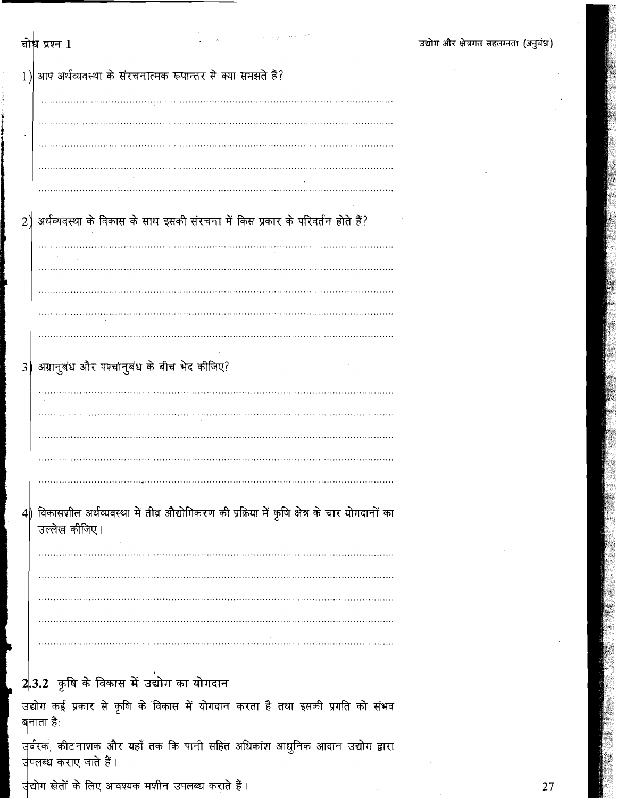| 1)             | आप अर्थव्यवस्था के संरचनात्मक रूपान्तर से क्या समझते हैं?                                                                    |
|----------------|------------------------------------------------------------------------------------------------------------------------------|
|                |                                                                                                                              |
|                |                                                                                                                              |
|                |                                                                                                                              |
|                |                                                                                                                              |
| 2)             | अर्थव्यवस्था के विकास के साथ इसकी संरचना में किस प्रकार के परिवर्तन होते हैं?                                                |
|                |                                                                                                                              |
|                |                                                                                                                              |
|                |                                                                                                                              |
|                |                                                                                                                              |
| $\overline{3}$ | अग्रानुबंध और पश्चांनुबंध के बीच भेद कीजिए?                                                                                  |
|                |                                                                                                                              |
|                |                                                                                                                              |
|                |                                                                                                                              |
|                |                                                                                                                              |
|                | $4$ ) विकासशील अर्थव्यवस्था में तीव्र औद्योगिकरण की प्रक्रिया में कृषि क्षेत्र के चार योगदानों का<br>उल्लेख कीजिए।<br>$\sim$ |
|                |                                                                                                                              |
|                |                                                                                                                              |
|                |                                                                                                                              |
|                |                                                                                                                              |
|                |                                                                                                                              |

# 2.3.2 कृषि के विकास में उद्योग का योगदान

बोध प्रश्न 1

उद्योग कई प्रकार से कृषि के विकास में योगदान करता है तथा इसकी प्रगति को संभव बनाता है:

उर्वरक, कीटनाशक और यहाँ तक कि पानी सहित अधिकांश आधुनिक आदान उद्योग द्वारा उपलब्ध कराए जाते हैं।

उचोग खेतों के लिए आवश्यक मशीन उपलब्ध कराते हैं।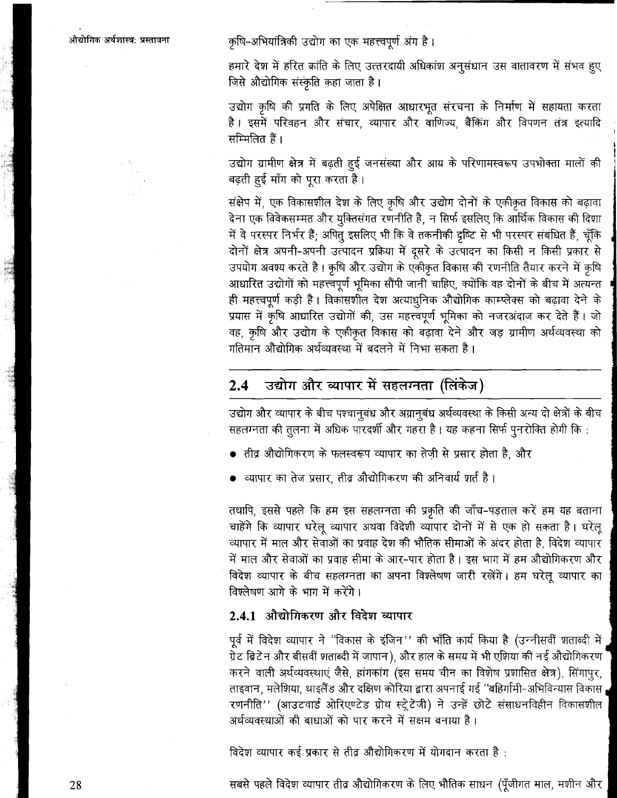कृषि-अभियांत्रिकी उद्योग का एक महत्त्वपूर्ण अंग है।

हमारे देश में हरित क्रांति के लिए उत्तरदायी अधिकांश अनुसंधान उस वातावरण में संभव हुए जिसे औद्योगिक संस्कृति कहा जाता है।

उद्योग कृषि की प्रगति के लिए अपेक्षित आधारभूत संरचना के निर्माण में सहायता करता है। इसमें परिवहन और संचार, व्यापार और वाणिज्य, बैंकिंग और विपणन तंत्र इत्यादि सम्मिलित हैं।

उद्योग ग्रामीण क्षेत्र में बढ़ती हुई जनसंख्या और आय के परिणामस्वरूप उपभोक्ता मालों की बढ़ती हुई माँग को पुरा करता है।

संक्षेप में, एक विकासशील देश के लिए कृषि और उद्योग दोनों के एकीकृत विकास को बढ़ावा देना एक विवेकसम्मत और युक्तिसंगत रणनीति है, न सिर्फ इसलिए कि आर्थिक विकास की दिशा में वे परस्पर निर्भर हैं; अपितु इसलिए भी कि वे तकनीकी दृष्टि से भी परस्पर संबंधित हैं, चूँकि दोनों क्षेत्र अपनी-अपनी उत्पादन प्रक्रिया में दूसरे के उत्पादन का किसी न किसी प्रकार से उपयोग अवश्य करते है। कृषि और उद्योग के एकीकृत विकास की रणनीति तैयार करने में कृषि आधारित उद्योगों को महत्त्वपूर्ण भूमिका सौंपी जानी चाहिए, क्योंकि वह दोनों के बीच में अत्यन्त ही महत्त्वपूर्ण कड़ी है। विकासशील देश अत्याधुनिक औद्योगिक काम्प्लेक्स को बढ़ावा देने के प्रयास में कृषि आधारित उद्योगों की, उस महत्त्वपूर्ण भूमिका को नजरअंदाज कर देते हैं। जो वह, कृषि और उद्योग के एकीकृत विकास को बढ़ावा देने और जड़ ग्रामीण अर्थव्यवस्था को गतिमान औद्योगिक अर्थव्यवस्था में बदलने में निभा सकता है।

#### उद्योग और व्यापार में सहलग्नता (लिंकेज)  $2.4$

उद्योग और व्यापार के बीच पश्चानुबंध और अग्रानुबंध अर्थव्यवस्था के किसी अन्य दो क्षेत्रों के बीच सहलग्नता की तूलना में अधिक पारदर्शी और गहरा है। यह कहना सिर्फ पुनरोक्ति होगी कि:

- तीव्र औद्योगिकरण के फलस्वरूप व्यापार का तेजी से प्रसार होता है, और
- व्यापार का तेज प्रसार, तीव्र औद्योगिकरण की अनिवार्य शर्त है।

तथापि, इससे पहले कि हम इस सहलग्नता की प्रकृति की जाँच-पड़ताल करें हम यह बताना चाहेंगे कि व्यापार घरेलू व्यापार अथवा विदेशी व्यापार दोनों में से एक हो सकता है। घरेलू व्यापार में माल और सेवाओं का प्रवाह देश की भौतिक सीमाओं के अंदर होता है, विदेश व्यापार में माल और सेवाओं का प्रवाह सीमा के आर-पार होता है। इस भाग में हम औद्योगिकरण और विदेश व्यापार के बीच सहलग्नता का अपना विश्लेषण जारी रखेंगे। हम घरेलू व्यापार का विश्लेषण आगे के भाग में करेंगे।

# 2.4.1 औद्योगिकरण और विदेश व्यापार

पूर्व में विदेश व्यापार ने "विकास के इंजिन'' की भाँति कार्य किया है (उन्नीसवीं शताब्दी में ग्रेट ब्रिटेन और बीसवीं शताब्दी में जापान), और हाल के समय में भी एशिया की नई औद्योगिकरण करने वाली अर्थव्यवस्थाएं जैसे, हांगकांग (इस समय चीन का विशेष प्रशासित क्षेत्र), सिंगापूर, ताइवान, मलेशिया, थाइलैंड और दक्षिण कोरिया द्वारा अपनाई गई ''बहिर्गामी-अभिविन्यास विकास रणनीति'' (आउटवार्ड ओरिएण्टेड ग्रोथ स्ट्रेटेजी) ने उन्हें छोटे संसाधनविहीन विकासशील अर्थव्यवस्थाओं की बाधाओं को पार करने में सक्षम बनाया है।

विदेश व्यापार कई प्रकार से तीव्र औद्योगिकरण में योगदान करता है :

सबसे पहले विदेश व्यापार तीव्र औद्योगिकरण के लिए भौतिक साधन (पूँजीगत माल, मशीन और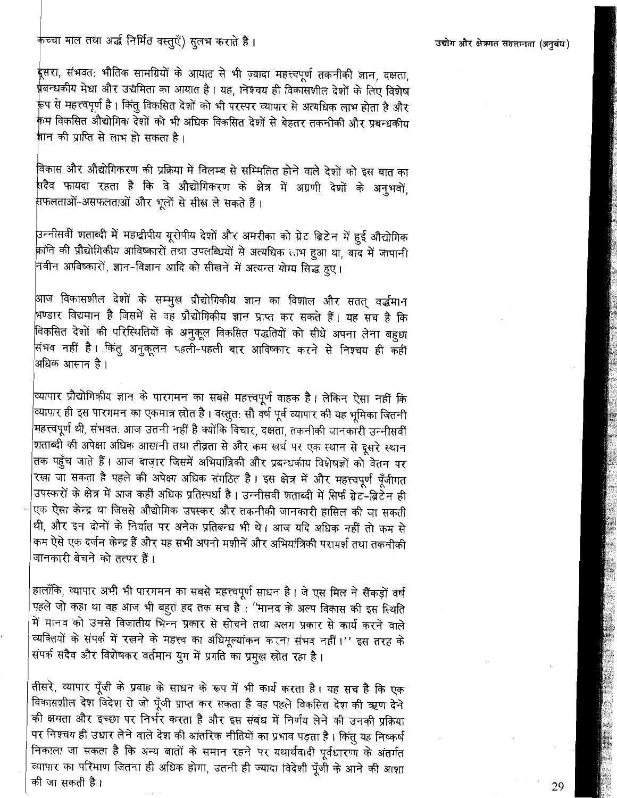<sub>र्</sub>सरा, संभवत: भौतिक सामग्रियों के आयात से भी ज़्यादा महत्त्वपूर्ण तकनीकी ज्ञान*,* दक्षता, **प्रबन्धकीय मेधा और उद्यमिता का आयात है। य**ह, ानेश्चय ही विकासशील देशों के लिए विशेष रूप से महत्त्वपृर्ण है । किंतु विकसित देशों को भी परस्पर व्यापार से अत्यधिक लाभ होता है और .<br>कम विकसित औद्योगिक देशों को भी अधिक विकसित देशों से बेहतर तकनीकी और प्रबन्धकीय ज्ञान की प्राप्ति से लाभ हो सकता है ।

विकास और औद्योगिकरण की प्रक्रिया में विलम्ब से सम्मिलित होने वाले देशों को इस बात का सदैव फायदा रहता है कि वे औद्योगिकरण के क्षेत्र में अग्रणी देशों के अनुभवों, सफलताओं-असफलताओं और भूलों से सीख ले सकते हैं।

उन्नीसवीं शताब्दी में महाद्वीपीय यूरोपीय देशों और अमरीका को ग्रेट ब्रिटेन में हुई औद्योगिक क्रांति की प्रौद्योगिकीय आविष्कारों तथा उपलब्धियों से अत्यधिक लाभ हुआ था, बाद में जापानी नवीन आविष्कारों, ज्ञान-विज्ञान आदि को सीखने में अत्यन्त योग्य सिद्ध हुए।

आज विकासशील देशों के सम्मुख प्रौद्योगिकीय ज्ञान का विशाल और सतत् वर्द्धमान भण्डार विद्यमान है जिसमें से वह प्रौद्योगिकीय ज्ञान प्राप्त कर सकते हैं। यह सच है कि विकसित देशों की परिस्थितियों के अनुकूल विकसित पद्धतियों को सीधे अपना लेना बहुधा सभव नहीं है। किंतु अनुकूलन पहली-पहली बार आविष्कार करने से निश्चय ही कहीं अधिक आसान है।

व्यापार प्रौद्योगिकीय ज्ञान के पारगमन का सबसे महत्त्वपूर्ण वाहक है। लेकिन ऐसा नहीं कि व्यापार ही इस पारगमन का एकमात्र स्रोत है । वस्तुत: सौ वर्ष पूर्व व्यापार की यह भूमिका जितनी महत्त्वपूर्ण थी, संभवत: आज उतनी नहीं है क्योंकि विचार, दक्षता, तकनीकी जानकारी उन्नीसवीं शताब्दी की अपेक्षा अधिक आसानी तथा तीव्रता से और कम खर्च पर एक स्थान से दूसरे स्थान तक पहुँच जाते हैं। आज बाज़ार जिसमें अभियांत्रिकी और प्रबन्धर्काय विशेषज्ञों को वेतन पर रखा जा सकता है पहले की अपेक्षा अधिक संगठित है। इस क्षेत्र में और महत्त्वपूर्ण पूँजीगत उपस्करों के क्षेत्र में आज कहीं अधिक प्रतिस्पर्धा है। उन्नीसवीं शताब्दी में सिर्फ ग्रेट-ब्रिटेन ही एक ऐसा केन्द्र था जिससे औद्योगिक उपस्कर और तकनीकी जानकारी हासिल की जा सकती थी, और इन दोनों के निर्यात पर अनेक प्रतिबन्ध भी थे। आज यदि अधिक नहीं तो कम से कम ऐसे एक दर्जन केन्द्र हैं और यह सभी अपनी मशीनें और अभियांत्रिकी परामर्श तथा तकनीकी जानकारी बेचने को तत्पर हैं ।

हालाँकि, व्यापार अभी भी पारगमन का सबसे महत्त्वपूर्ण साधन है। जे एस मिल ने सैंकड़ों वर्ष पहले जो कहा था वह आज भी बहुत हद तक सच है : ''मानव के अल्प विकास की इस स्थिति में मानव को उनसे विजातीय भिन्न प्रकार से सोचने तथा अलग प्रकार से कार्य करने वाले व्यक्तियों के संपर्क में रखने के महत्त्व का अधिमूल्यांकन करना संभव नहीं।'' इस तरह के संपर्क सदैव और विशेषकर वर्तमान युग में प्रगति का प्रमुख स्रोत रहा है।

तीसरे, व्यापार पूँजी के प्रवाह के साधन के रूप में भी कार्य करता है। यह सच है कि एक विकासशील देश विदेश रो जो पूँजी प्राप्त कर सकता है वह पहले विकसित देश की ऋण देने की क्षमता और इच्छा पर निर्भर करता है और इस संबंध में निर्णय लेने की उनकी प्रक्रिया पर निश्चय ही उधार लेने वाले देश की आंतरिक नीतियों का प्रभाव पड़ता है। किंतु यह निष्कर्ष निकाला जा सकता है कि अन्य बातों के समान रहने पर यथार्थवादी पूर्वधारणा के अंतर्गत व्यापार का परिमाण जितना ही अधिक होगा, उतनी ही ज्यादा विदेशी पूँजी के आने की आशा की जा सकती है।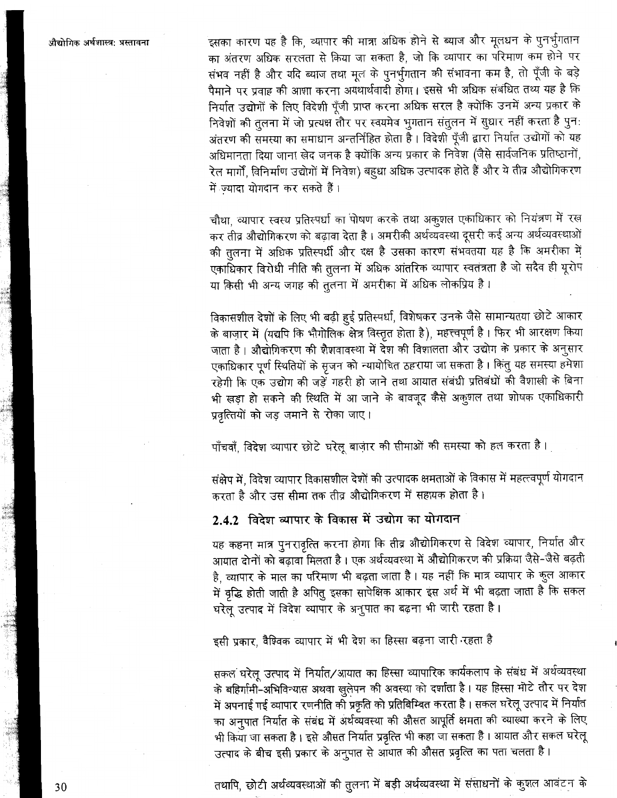इसका कारण यह है कि, व्यापार की मात्रा अधिक होने से ब्याज और मूलधन के पुनर्भुगतान का अंतरण अधिक सरलता से किया जा सकता है, जो कि व्यापार का परिमाण कम होने पर संभव नहीं है और यदि ब्याज तथा मूल के पुनर्भुगतान की संभावना कम है, तो पूँजी के बड़े पैमाने पर प्रवाह की आशा करना अयथार्थवादी होगा। इससे भी अधिक संबंधित तथ्य यह है कि निर्यात उद्योगों के लिए विदेशी पूँजी प्राप्त करना अधिक सरल है क्योंकि उनमें अन्य प्रकार के निवेशों की तुलना में जो प्रत्यक्ष तौर पर स्वयमेव भुगतान संतुलन में सुधार नहीं करता है पुन: अंतरण की समस्या का समाधान अन्तर्निहित होता है। विदेशी पूँजी द्वारा निर्यात उद्योगों को यह अधिमानता दिया जाना खेद जनक है क्योंकि अन्य प्रकार के निवेश (जैसे सार्वजनिक प्रतिष्ठानों, रेल मार्गों, विनिर्माण उद्योगों में निवेश) बहुधा अधिक उत्पादक होते हैं और ये तीव्र औद्योगिकरण में ज्यादा योगदान कर सकते हैं।

चौथा, व्यापार स्वस्थ प्रतिस्पर्धा का पोषण करके तथा अकुशल एकाधिकार को नियंत्रण में रख कर तीव्र औद्योगिकरण को बढ़ावा देता है। अमरीकी अर्थव्यवस्था दूसरी कई अन्य अर्थव्यवस्थाओं की तुलना में अधिक प्रतिस्पर्धी और दक्ष है उसका कारण संभवतया यह है कि अमरीका में एकाधिकार विरोधी नीति की तुलना में अधिक आंतरिक व्यापार स्वतंत्रता है जो सदैव ही यूरोप या किसी भी अन्य जगह की तुलना में अमरीका में अधिक लोकप्रिय है।

विकासशील देशों के लिए भी बढ़ी हुई प्रतिस्पर्धा, विशेषकर उनके जैसे सामान्यतया छोटे आकार के बाजार में (यद्यपि कि भौगोलिक क्षेत्र विस्तृत होता है), महत्त्वपूर्ण है। फिर भी आरक्षण किया जाता है। औद्योगिकरण की शैशवावस्था में देश की विशालता और उद्योग के प्रकार के अनुसार एकाधिकार पूर्ण स्थितियों के सुजन को न्यायोचित ठहराया जा सकता है। किंतु यह समस्या हमेशा रहेगी कि एक उद्योग की जड़ें गहरी हो जाने तथा आयात संबंधी प्रतिबंधों की वैशाखी के बिना भी खड़ा हो सकने की स्थिति में आ जाने के बावजूद कैसे अकुशल तथा शोषक एकाधिकारी प्रवत्तियों को जड जमाने से रोका जाए।

पाँचवाँ, विदेश व्यापार छोटे घरेलू बाज़ार की सीमाओं की समस्या को हल करता है।

संक्षेप में, विदेश व्यापार विकासशील देशों की उत्पादक क्षमताओं के विकास में महत्त्वपूर्ण योगदान करता है और उस सीमा तक तीव्र औद्योगिकरण में सहायक होता है।

# 2.4.2 विदेश व्यापार के विकास में उद्योग का योगदान

यह कहना मात्र पुनरावृत्ति करना होगा कि तीव्र औद्योगिकरण से विदेश व्यापार, निर्यात और आयात दोनों को बढ़ावा मिलता है। एक अर्थव्यवस्था में औद्योगिकरण की प्रक्रिया जैसे-जैसे बढ़ती है, व्यापार के माल का परिमाण भी बढ़ता जाता है। यह नहीं कि मात्र व्यापार के कुल आकार में वृद्धि होती जाती है अपितु इसका सापेक्षिक आकार इस अर्थ में भी बढ़ता जाता है कि सकल घरेलू उत्पाद में विदेश व्यापार के अनूपात का बढ़ना भी जारी रहता है।

इसी प्रकार, वैष्ठिवक व्यापार में भी देश का हिस्सा बढ़ना जारी रहता है

सकल घरेलू उत्पाद में निर्यात/आयात का हिस्सा व्यापारिक कार्यकलाप के संबंध में अर्थव्यवस्था के बहिर्गामी-अभिविन्यास अथवा खुलेपन की अवस्था को दर्शाता है। यह हिस्सा मोटे तौर पर देश में अपनाई गई व्यापार रणनीति की प्रकृति को प्रतिबिम्बित करता है। सकल घरेलू उत्पाद में निर्यात का अनुपात निर्यात के संबंध में अर्थव्यवस्था की औसत आपूर्ति क्षमता की व्याख्या करने के लिए भी किया जा सकता है। इसे औसत निर्यात प्रवृत्ति भी कहा जा सकता है। आयात और सकल घरेलू उत्पाद के बीच इसी प्रकार के अनूपात से आयात की औसत प्रवृत्ति का पता चलता है।

तथापि, छोटी अर्थव्यवस्थाओं की तुलना में बड़ी अर्थव्यवस्था में संसाधनों के कुशल आवंटन के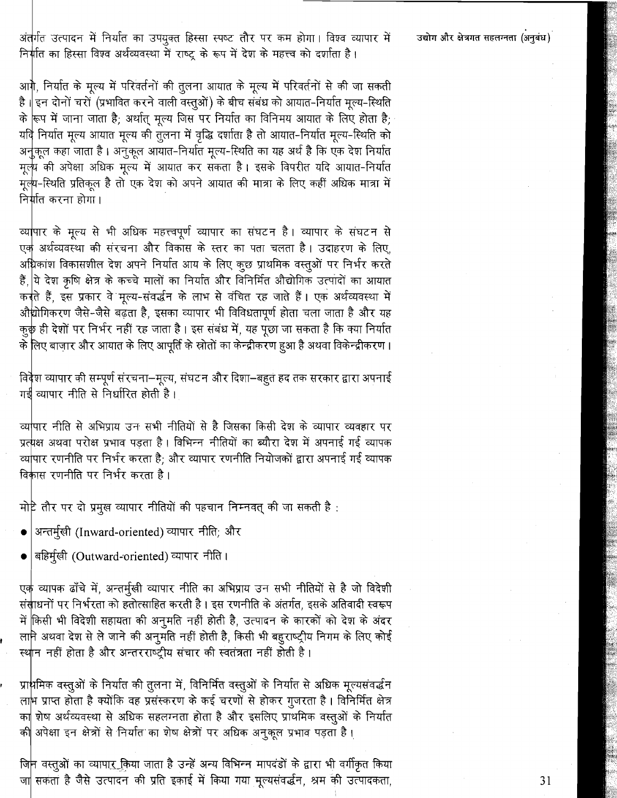अंतर्गत उत्पादन में निर्यात का उपयुक्त हिस्सा स्पष्ट तौर पर कम होगा। विश्व व्यापार में निर्गति का हिस्सा विश्व अर्थव्यवस्था में राष्ट्र के रूप में देश के महत्त्व को दर्शाता है।

उद्योग और क्षेत्रगत सहलग्नता (अनुबंध)

आगे, निर्यात के मूल्य में परिवर्तनों की तुलना आयात के मूल्य में परिवर्तनों से की जा सकती है ||इन दोनों चरों (प्रभावित करने वाली वस्तूओं) के बीच संबंध को आयात-निर्यात मूल्य-स्थिति के रूप में जाना जाता है; अर्थात् मूल्य जिस पर निर्यात का विनिमय आयात के लिए होता है; यदि निर्यात मूल्य आयात मूल्य की तुलना में वृद्धि दर्शाता है तो आयात-निर्यात मूल्य-स्थिति को अनूकूल कहा जाता है। अनुकूल आयात-निर्यात मूल्य-स्थिति का यह अर्थ है कि एक देश निर्यात मूल्य की अपेक्षा अधिक मूल्य में आयात कर सकता है। इसके विपरीत यदि आयात-निर्यात मुल्य-स्थिति प्रतिकृल है तो एक देश को अपने आयात की मात्रा के लिए कहीं अधिक मात्रा में निर्गत करना होगा ।

व्यापार के मूल्य से भी अधिक महत्त्वपूर्ण व्यापार का संघटन है। व्यापार के संघटन से एक अर्थव्यवस्था की संरचना और विकास के स्तर का पता चलता है। उदाहरण के लिए, अधिकांश विकासशील देश अपने निर्यात आय के लिए कुछ प्राथमिक वस्तुओं पर निर्भर करते हैं, ये देश कृषि क्षेत्र के कच्चे मालों का निर्यात और विनिर्मित औद्योगिक उत्पादों का आयात करते हैं, इस प्रकार वे मूल्य-संवर्द्धन के लाभ से वंचित रह जाते हैं। एक अर्थव्यवस्था में औद्योगिकरण जैसे-जैसे बढ़ता है, इसका व्यापार भी विविधतापूर्ण होता चला जाता है और यह कुकै ही देशों पर निर्भर नहीं रह जाता है। इस संबंध में, यह पूछा जा सकता है कि क्या निर्यात के लिए बाज़ार और आयात के लिए आपूर्ति के स्रोतों का केन्द्रीकरण हुआ है अथवा विकेन्द्रीकरण ।

विदेश व्यापार की सम्पूर्ण संरचना--मूल्य, संघटन और दिशा–बहुत हद तक सरकार द्वारा अपनाई गईं व्यापार नीति से निर्धारित होती है।

व्यापार नीति से अभिप्राय उन सभी नीतियों से है जिसका किसी देश के व्यापार व्यवहार पर प्रत्यक्ष अथवा परोक्ष प्रभाव पडता है। विभिन्न नीतियों का ब्यौरा देश में अपनाई गई व्यापक व्यापार रणनीति पर निर्भर करता है: और व्यापार रणनीति नियोजकों द्वारा अपनाई गई व्यापक विकास रणनीति पर निर्भर करता है।

मोट्टे तौर पर दो प्रमुख व्यापार नीतियों की पहचान निम्नवत् की जा सकती है:

- अन्तर्मुखी (Inward-oriented) व्यापार नीति; और
- बहिर्मूखी (Outward-oriented) व्यापार नीति।

एक व्यापक ढाँचे में, अन्तर्मुखी व्यापार नीति का अभिप्राय उन सभी नीतियों से है जो विदेशी संसाधनों पर निर्भरता को हतोत्साहित करती है। इस रणनीति के अंतर्गत, इसके अतिवादी स्वरूप में किसी भी विदेशी सहायता की अनुमति नहीं होती है, उत्पादन के कारकों को देश के अंदर लाने अथवा देश से ले जाने की अनुमति नहीं होती है, किसी भी बहुराष्ट्रीय निगम के लिए कोई स्थान नहीं होता है और अन्तरराष्ट्रीय संचार की स्वतंत्रता नहीं होती है।

प्राथमिक वस्तुओं के निर्यात की तूलना में, विनिर्मित वस्तुओं के निर्यात से अधिक मूल्यसंवर्द्धन ला<mark>भ प्राप्त होता है क्योंकि वह प्रसंस्करण के कई चरणों से होकर गुजरता है। विनिर्मित क्षेत्र</mark> का शेष अर्थव्यवस्था से अधिक सहलग्नता होता है और इसलिए प्राथमिक वस्तुओं के निर्यात की अपेक्षा इन क्षेत्रों से निर्यात का शेष क्षेत्रों पर अधिक अनुकूल प्रभाव पड़ता है।

जिन वस्तुओं का व्यापार किया जाता है उन्हें अन्य विभिन्न मापदंडों के द्वारा भी वर्गीकृत किया जा सकता है जैसे उत्पादन की प्रति इकाई में किया गया मूल्यसंवर्द्धन, श्रम की उत्पादकता,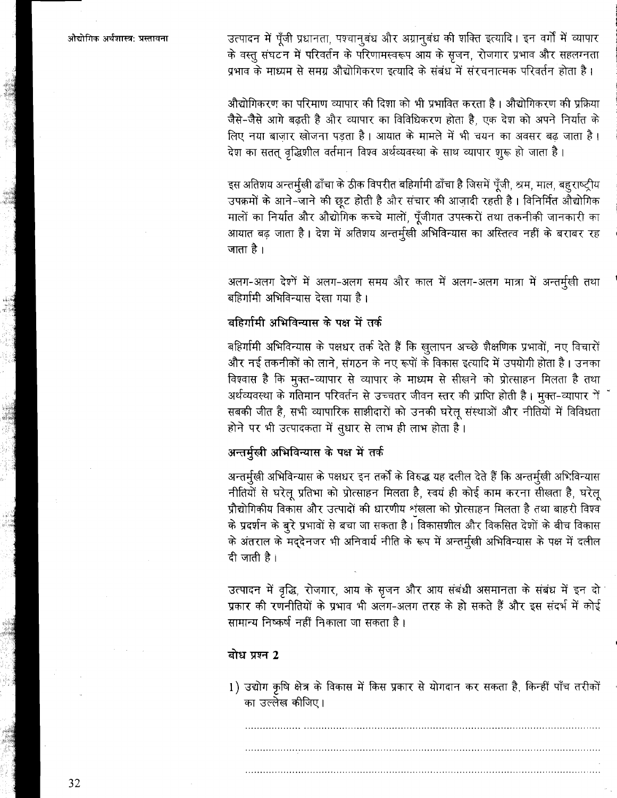उत्पादन में पूँजी प्रधानता, पश्चानुबंध और अग्रानुबंध की शक्ति इत्यादि। इन वर्गों में व्यापार के वस्तू संघटन में परिवर्तन के परिणामस्वरूप आय के सृजन, रोजगार प्रभाव और सहलग्नता प्रभाव के माध्यम से समग्र औद्योगिकरण इत्यादि के संबंध में संरचनात्मक परिवर्तन होता है।

औद्योगिकरण का परिमाण व्यापार की दिशा को भी प्रभावित करता है। औद्योगिकरण की प्रक्रिया जैसे-जैसे आगे बढ़ती है और व्यापार का विविधिकरण होता है. एक देश को अपने निर्यात के लिए नया बाजार खोजना पडता है। आयात के मामले में भी चयन का अवसर बढ जाता है। देश का सतत् वृद्धिशील वर्तमान विश्व अर्थव्यवस्था के साथ व्यापार शुरू हो जाता है।

इस अतिशय अन्तर्मुखी ढाँचा के ठीक विपरीत बहिर्गामी ढाँचा है जिसमें पुँजी, श्रम, माल, बहराष्ट्रीय उपक्रमों के आने-जाने की छूट होती है और संचार की आजादी रहती है। विनिर्मित औद्योगिक मालों का निर्यात और औद्योगिक कच्चे मालों, पूँजीगत उपस्करों तथा तकनीकी जानकारी का आयात बढ जाता है। देश में अतिशय अन्तर्मुखी अभिविन्यास का अस्तित्व नहीं के बराबर रह जाता है।

अलग-अलग देशों में अलग-अलग समय और काल में अलग-अलग मात्रा में अन्तर्मुखी तथा बहिर्गामी अभिविन्यास देखा गया है।

### बहिर्गामी अभिविन्यास के पक्ष में तर्क

बहिर्गामी अभिविन्यास के पक्षधर तर्क देते हैं कि खुलापन अच्छे शैक्षणिक प्रभावों, नए विचारों और नई तकनीकों को लाने, संगठन के नए रूपों के विकास इत्यादि में उपयोगी होता है। उनका विश्वास है कि मुक्त-व्यापार से व्यापार के माध्यम से सीखने को प्रोत्साहन मिलता है तथा अर्थव्यवस्था के गतिमान परिवर्तन से उच्चतर जीवन स्तर की प्राप्ति होती है। मुक्त-व्यापार में सबकी जीत है, सभी व्यापारिक साझीदारों को उनकी घरेलू संस्थाओं और नीतियों में विविधता होने पर भी उत्पादकता में सूधार से लाभ ही लाभ होता है।

# अन्तर्मुखी अभिविन्यास के पक्ष में तर्क

अन्तर्मुखी अभिविन्यास के पक्षधर इन तर्कों के विरुद्ध यह दलील देते हैं कि अन्तर्मुखी अभिविन्यास नीतियों से घरेलू प्रतिभा को प्रोत्साहन मिलता है, स्वयं ही कोई काम करना सीखता है, घरेलू प्रौद्योगिकीय विकास और उत्पादों की धारणीय शंखला को प्रोत्साहन मिलता है तथा बाहरी विश्व के प्रदर्शन के बुरे प्रभावों से बचा जा सकता है। विकासशील और विकसित देशों के बीच विकास के अंतराल के मद्देनजर भी अनिवार्य नीति के रूप में अन्तर्मूखी अभिविन्यास के पक्ष में दलील दी जाती है।

उत्पादन में वृद्धि, रोजगार, आय के सृजन और आय संबंधी असमानता के संबंध में इन दो प्रकार की रणनीतियों के प्रभाव भी अलग-अलग तरह के हो सकते हैं और इस संदर्भ में कोई सामान्य निष्कर्ष नहीं निकाला जा सकता है।

### बोध प्रश्न 2

1) उद्योग कृषि क्षेत्र के विकास में किस प्रकार से योगदान कर सकता है, किन्हीं पाँच तरीकों का उल्लेख कीजिए।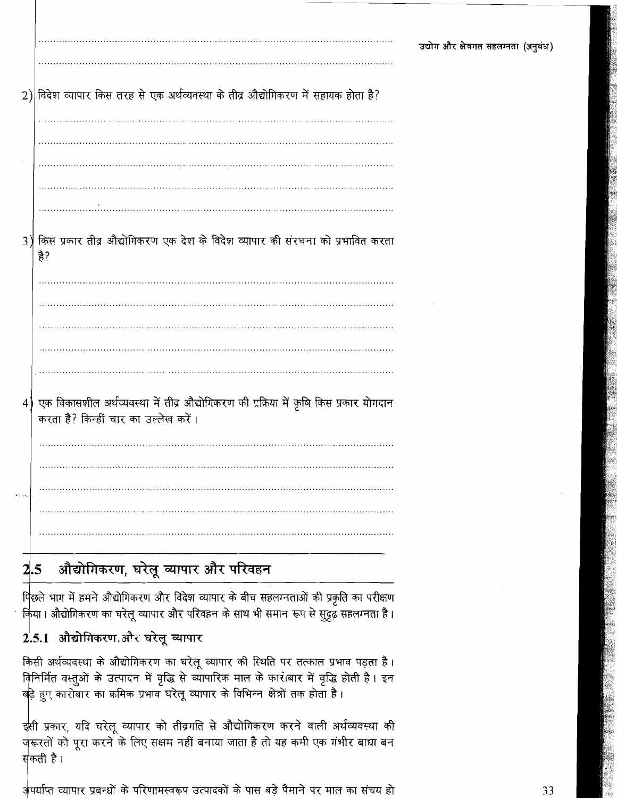2) विदेश व्यापार किस तरह से एक अर्थव्यवस्था के तीव्र औद्योगिकरण में सहायक होता है?  $3$ ) किस प्रकार तीव्र औद्योगिकरण एक देश के विदेश व्यापार की संरचना को प्रभावित करता है? 4) एक विकासशील अर्थव्यवस्था में तीव्र औद्योगिकरण की प्रक्रिया में कृषि किस प्रकार योगदान करता है? किन्हीं चार का उल्लेख करें।

#### औद्योगिकरण, घरेलू व्यापार और परिव<mark>ह</mark>न  $2.5$

पिछले भाग में हमने औद्योगिकरण और विदेश व्यापार के बीच सहलग्नताओं की प्रकृति का परीक्षण किया। औद्योगिकरण का घरेलू व्यापार और परिवहन के साथ भी समान रूप से सुदृढ़ सहलग्नता है।

# 2.5.1 औद्योगिकरण और घरेलू व्यापार

किसी अर्थव्यवस्था के औद्योगिकरण का घरेलू व्यापार की स्थिति पर तत्काल प्रभाव पड़ता है। विनिर्मित वस्तुओं के उत्पादन में वृद्धि से व्यापारिक माल के कारोबार में वृद्धि होती है। इन बढ़े हुए कारोबार का क्रमिक प्रभाव घरेलू व्यापार के विभिन्न क्षेत्रों तक होता है।

इसी प्रकार, यदि घरेलू व्यापार को तीव्रगति से औद्योगिकरण करने वाली अर्थव्यवस्था की जरूरतों को पूरा करने के लिए सक्षम नहीं बनाया जाता है तो यह कमी एक गंभीर बाधा बन संकती है ।

अपर्याप्त व्यापार प्रबन्धों के परिणामस्वरूप उत्पादकों के पास बड़े पैमाने पर माल का संचय हो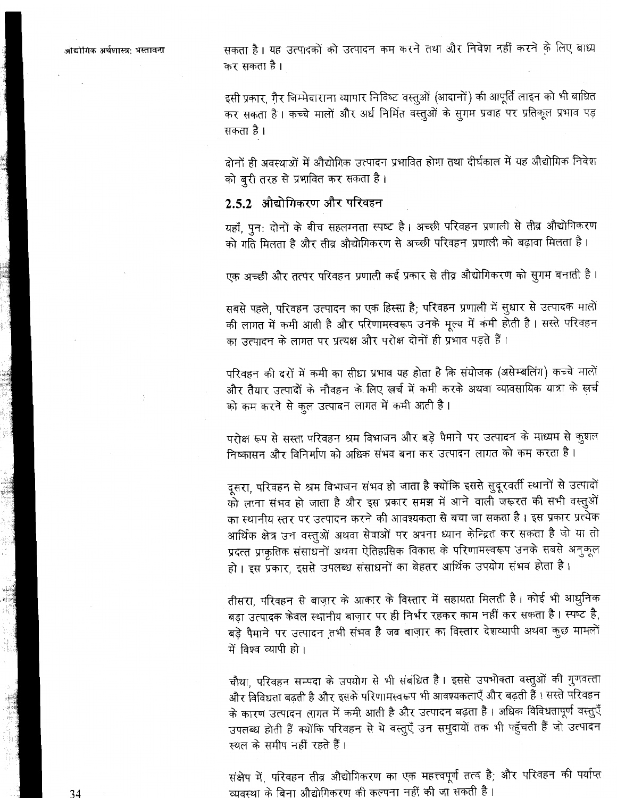सकता है। यह उत्पादकों को उत्पादन कम करने तथा और निवेश नहीं करने के लिए बाध्य कर सकता है।

इसी प्रकार, गै़र जिम्मेदाराना व्यापार निविष्ट वस्तुओं (आदानों) की आपूर्ति लाइन को भी बाधित कर सकता है। कच्चे मालों और अर्ध निर्मित वस्तुओं के सुगम प्रवाह पर प्रतिकूल प्रभाव पड़ सकता है।

दोनों ही अवस्थाओं में औद्योगिक उत्पादन प्रभावित होगा तथा दीर्घकाल में यह औद्योगिक निवेश को बूरी तरह से प्रभावित कर सकता है।

### 2.5.2 औद्योगिकरण और परिवहन

यहाँ, पुन: दोनों के बीच सहलग्नता स्पष्ट है। अच्छी परिवहन प्रणाली से तीव्र औद्योगिकरण को गति मिलता है और तीव्र औद्योगिकरण से अच्छी परिवहन प्रणाली को बढ़ावा मिलता है।

एक अच्छी और तत्पर परिवहन प्रणाली कई प्रकार से तीव्र औद्योगिकरण को सुगम बनाती है।

सबसे पहले, परिवहन उत्पादन का एक हिस्सा है; परिवहन प्रणाली में सुधार से उत्पादक मालों की लागत में कमी आती है और परिणामस्वरूप उनके मूल्य में कमी होती है। सस्ते परिवहन का उत्पादन के लागत पर प्रत्यक्ष और परोक्ष दोनों ही प्रभाव पडते हैं।

परिवहन की दरों में कमी का सीधा प्रभाव यह होता है कि संयोजक (असेम्बलिंग) कच्चे मालों और तैयार उत्पादों के नौवहन के लिए खर्च में कमी करके अथवा व्यावसायिक यात्रा के खर्च को कम करने से कूल उत्पादन लागत में कमी आती है।

परोक्ष रूप से सस्ता परिवहन श्रम विभाजन और बड़े पैमाने पर उत्पादन के माध्यम से कुशल निष्कासन और विनिर्माण को अधिक संभव बना कर उत्पादन लागत को कम करता है।

दूसरा, परिवहन से श्रम विभाजन संभव हो जाता है क्योंकि इससे सुदूरवर्ती स्थानों से उत्पादों को लाना संभव हो जाता है और इस प्रकार समझ में आने वाली जरूरत की सभी वस्तुओं का स्थानीय स्तर पर उत्पादन करने की आवश्यकता से बचा जा सकता है। इस प्रकार प्रत्येक आर्थिक क्षेत्र उन वस्तुओं अथवा सेवाओं पर अपना ध्यान केन्द्रित कर सकता है जो या तो प्रदत्त प्राकृतिक संसाधनों अथवा ऐतिहासिक विकास के परिणामस्वरूप उनके सबसे अनुकूल हो। इस प्रकार, इससे उपलब्ध संसाधनों का बेहतर आर्थिक उपयोग संभव होता है।

तीसरा, परिवहन से बाज़ार के आकार के विस्तार में सहायता मिलती है। कोई भी आधुनिक बड़ा उत्पादक केवल स्थानीय बाज़ार पर ही निर्भर रहकर काम नहीं कर सकता है। स्पष्ट है, बड़े पैमाने पर उत्पादन तभी संभव है जब बाज़ार का विस्तार देशव्यापी अथवा कुछ मामलों में विश्व व्यापी हो।

चौथा, परिवहन सम्पदा के उपयोग से भी संबंधित है। इससे उपभोक्ता वस्तुओं की गुणवत्ता और विविधता बढ़ती है और इसके परिणामस्वरूप भी आवश्यकताएँ और बढ़ती हैं । सस्ते परिवहन के कारण उत्पादन लागत में कमी आती है और उत्पादन बढ़ता है। अधिक विविधतापूर्ण वस्तुएँ उपलब्ध होती हैं क्योंकि परिवहन से ये वस्तुएँ उन समुदायों तक भी पहुँचती हैं जो उत्पादन स्थल के समीप नहीं रहते हैं।

संक्षेप में, परिवहन तीव्र औद्योगिकरण का एक महत्त्वपूर्ण तत्व है; और परिवहन की पर्याप्त व्यवस्था के बिना औद्योगिकरण की कल्पना नहीं की जा सकती है।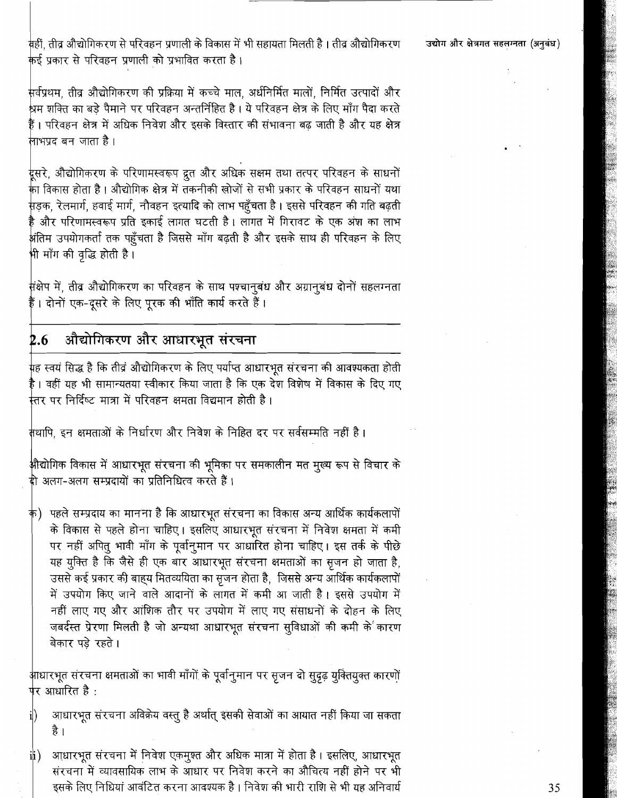बहीं, तीव्र औद्योगिकरण से परिवहन प्रणाली के विकास में भी सहायता मिलती है । तीव्र औद्योगिकरण .<br>कई प्रकार से परिवहन प्रणाली को प्रभावित करता है।

.<br>सर्वप्रथम, तीव्र औद्योगिकरण की प्रक्रिया में कच्चे माल, अर्धनिर्मित मालों, निर्मित उत्पादों और ।<br>श्रम शक्ति का बडे पैमाने पर परिवहन अन्तर्निहित है । ये परिवहन क्षेत्र के लिए माँग पैदा करते .<br>हैं। परिवहन क्षेत्र में अधिक निवेश और इसके विस्तार की संभावना बढ जाती है और यह क्षेत्र .<br>लाभप्रद बन जाता है ।

.<br>दूसरे, औद्योगिकरण के परिणामस्वरूप द्रुत और अधिक सक्षम तथा तत्पर परिवहन के साधनों .<br>सड़क, रेलमार्ग, हवाई मार्ग, नौवहन इत्यादि को लाभ पहूँचता है । इससे परिवहन की गति बढ़ती .<br>है और परिणामस्वरूप प्रति इकाई लागत घटती है। लागत में गिरावट के एक अंश का लाभ .<br>अंतिम उपयोगकर्ता तक पहँचता है जिससे माँग बढ़ती है और इसके साथ ही परिवहन के लिए भी माँग की वृद्धि होती है।

.<br>संक्षेप में, तीव्र औद्योगिकरण का परिवहन के साथ पश्चानुबंध और अग्रानुबंध दोनों सहलग्नता .<br>हैं। दोनों एक-दूसरे के लिए पूरक की भाँति कार्य करते हैं।

#### औद्योगिकरण और आधारभूत संरचना  $2.6$

.<br><sub>सह स्</sub>वयं सिद्ध है कि तीव्रं औद्योगिकरण के लिए पर्याप्त आधारभूत संरचना की आवश्यकता होती .<br>है। वहीं यह भी सामान्यतया स्वीकार किया जाता है कि एक देश विशेष में विकास के दिए गए .<br>स्तर पर निर्दिष्ट मात्रा में परिवहन क्षमता विद्यमान होती है ।

ग्रीथापि, इन क्षमताओं के निर्धारण और निवेश के निहित दर पर सर्वसम्मति नहीं है।

भीद्योगिक विकास में आधारभूत संरचना की भूमिका पर समकालीन मत मुख्य रूप से विचार के द्दी अलग-अलग सम्प्रदायों का प्रतिनिधित्व करते हैं ।

के) पहले सम्प्रदाय का मानना है कि आधारभूत संरचना का विकास अन्य आर्थिक कार्यकलापों के विकास से पहले होना चाहिए। इसलिए आधारभूत संरचना में निवेश क्षमता में कमी पर नहीं अपितू भावी माँग के पूर्वानूमान पर आधारित होना चाहिए। इस तर्क के पीछे यह युक्ति है कि जैसे ही एक बार आधारभूत संरचना क्षमताओं का सृजन हो जाता है, उससे कई प्रकार की बाहय मितव्ययिता का सृजन होता है, जिससे अन्य आर्थिक कार्यकलापों में उपयोग किए जाने वाले आदानों के लागत में कमी आ जाती है। इससे उपयोग में नहीं लाए गए और आंशिक तौर पर उपयोग में लाए गए संसाधनों के दोहन के लिए जबर्दस्त प्रेरणा मिलती है जो अन्यथा आधारभूत संरचना सुविधाओं की कमी के कारण बेकार पडे रहते।

आधारभूत संरचना क्षमताओं का भावी माँगों के पूर्वानूमान पर सृजन दो सूदृढ़ यूक्तियुक्त कारणों पर आधारित है:

- आधारभूत संरचना अविक्रेय वस्तू है अर्थात् इसकी सेवाओं का आयात नहीं किया जा सकता  $\mathbf{i})$ है ।
- आधारभूत संरचना में निवेश एकमुश्त और अधिक मात्रा में होता है। इसलिए, आधारभूत  $\ddot{\mathbf{i}}$ संरचना में व्यावसायिक लाभ के आधार पर निवेश करने का औचित्य नहीं होने पर भी इसके लिए निधियां आवंटित करना आवश्यक है । निवेश की भारी राशि से भी यह अनिवार्य

उद्योग और क्षेत्रगत सहलग्नता (अनुबंध)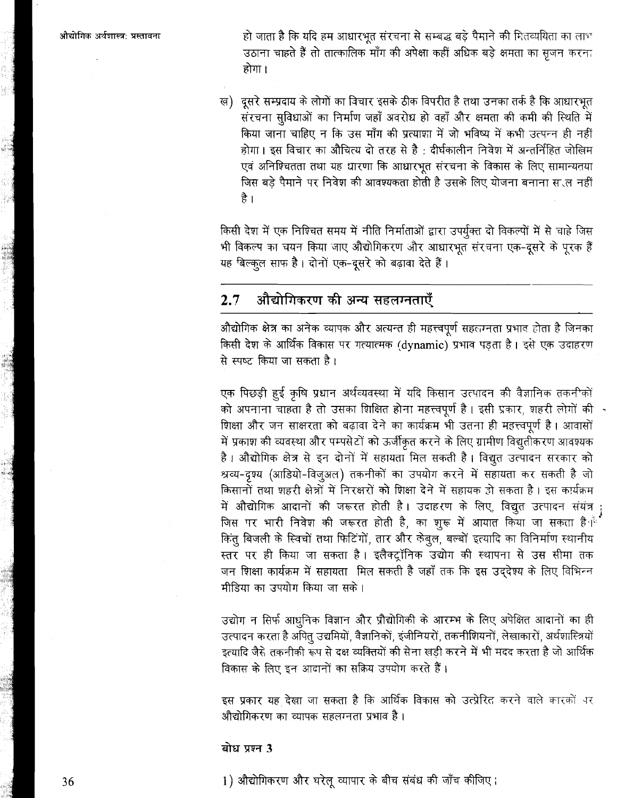हो जाता है कि यदि हम आधारभूत संरचना से सम्बद्ध बड़े पैमाने की मितव्ययिता का लाभ उठाना चाहते हैं तो तात्कालिक माँग की अपेक्षा कहीं अधिक बड़े क्षमता का सृजन करना होगा ।

ख) दूसरे सम्प्रदाय के लोगों का विचार इसके ठीक विपरीत है तथा उनका तर्क है कि आधारभूत संरचना सुविधाओं का निर्माण जहाँ अवरोध हो वहाँ और क्षमता की कमी की स्थिति में किया जाना चाहिए न कि उस माँग की प्रत्याशा में जो भविष्य में कभी उत्पन्न ही नहीं होगा। इस विचार का औचित्य दो तरह से है : दीर्घकालीन निवेश में अन्तर्निहित जोखिम एवं अनिश्चितता तथा यह धारणा कि आधारभूत संरचना के विकास के लिए सामान्यतया जिस बड़े पैमाने पर निवेश की आवश्यकता होती है उसके लिए योजना बनाना सरल नहीं है।

किसी देश में एक निश्चित समय में नीति निर्माताओं द्वारा उपर्यूक्त दो विकल्पों में से चाहे जिस भी विकल्प का चयन किया जाए औद्योगिकरण और आधारभूत संरचना एक-दूसरे के पूरक हैं यह बिल्कूल साफ है। दोनों एक-दूसरे को बढ़ावा देते हैं।

#### औद्योगिकरण की अन्य सहलग्नताएँ  $2.7$

औद्योगिक क्षेत्र का अनेक व्यापक और अत्यन्त ही महत्त्वपूर्ण सहलग्नता प्रभाव होता है जिनका किसी देश के आर्थिक विकास पर गत्यात्मक (dvnamic) प्रभाव पडता है। इसे एक उदाहरण से स्पष्ट किया जा सकता है।

एक पिछड़ी हुई कृषि प्रधान अर्थव्यवस्था में यदि किसान उत्पादन की वैज्ञानिक तकनीकों को अपनाना चाहता है तो उसका शिक्षित होना महत्त्वपूर्ण है। इसी प्रकार, शहरी लोगों की शिक्षा और जन साक्षरता को बढ़ावा देने का कार्यक्रम भी उतना ही महत्त्वपूर्ण है। आवासों में प्रकाश की व्यवस्था और पम्पसेटों को ऊर्जीकृत करने के लिए ग्रामीण विद्यूतीकरण आवश्यक है। औद्योगिक क्षेत्र से इन दोनों में सहायता मिल सकती है। विद्युत उत्पादन सरकार को श्रव्य-दृश्य (आडियो-विज़्अल) तकनीकों का उपयोग करने में सहायता कर सकती है जो किसानों तथा शहरी क्षेत्रों में निरक्षरों को शिक्षा देने में सहायक हो सकता है। इस कार्यक्रम में औद्योगिक आदानों की जरूरत होती है। उदाहरण के लिए, विद्युत उत्पादन संयंत्र : जिस पर भारी निवेश की जरूरत होती है, का शूरू में आयात किया जा सकता है है किंतु बिजली के स्विचों तथा फिटिंगों, तार और केबुल, बल्बों इत्यादि का विनिर्माण स्थानीय स्तर पर ही किया जा सकता है। इलैक्ट्रॉनिक उद्योग की स्थापना से उस सीमा तक जन शिक्षा कार्यक्रम में सहायता मिल सकती है जहाँ तक कि इस उद्देश्य के लिए विभिन्न मीडिया का उपयोग किया जा सके।

उद्योग न सिर्फ आधुनिक विज्ञान और प्रौद्योगिकी के आरम्भ के लिए अपेक्षित आदानों का ही उत्पादन करता है अपित् उद्यमियों, वैज्ञानिकों, इंजीनियरों, तकनीशियनों, लेखाकारों, अर्थशास्त्रियों इत्यादि जैसे तकनीकी रूप से दक्ष व्यक्तियों की सेना खड़ी करने में भी मदद करता है जो आर्थिक विकास के लिए इन आदानों का सक्रिय उपयोग करते हैं।

इस प्रकार यह देखा जा सकता है कि आर्थिक विकास को उत्प्रेरित करने वाले कारकों पर औद्योगिकरण का व्यापक सहलग्नता प्रभाव है।

### बोध प्रश्न 3

1) औद्योगिकरण और घरेलू व्यापार के बीच संबंध की जाँच कीजिए।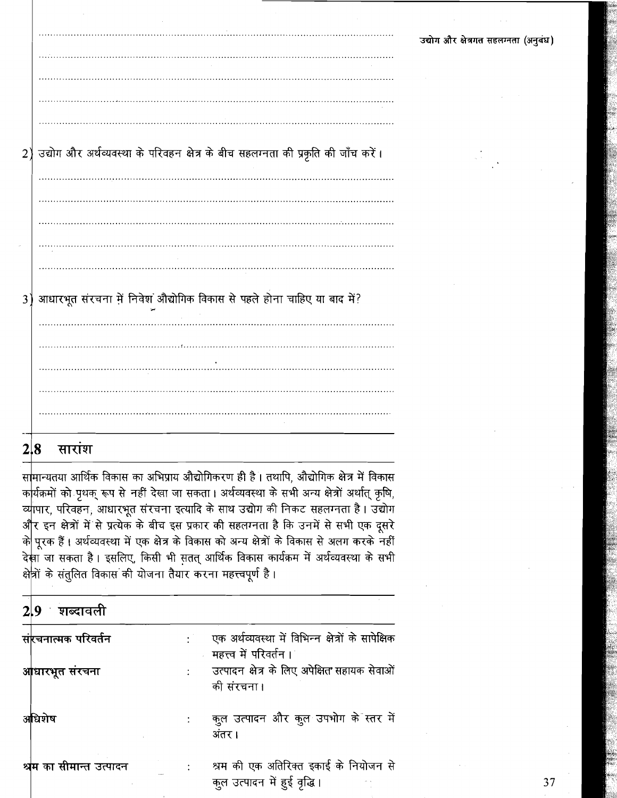उद्योग और क्षेत्रगत सहलग्नता (अनुबंध)

37

2) उद्योग और अर्थव्यवस्था के परिवहन क्षेत्र के बीच सहलग्नता की प्रकृति की जाँच करें। 3) आधारभूत संरचना में निवेश औद्योगिक विकास से पहले होना चाहिए या बाद में?

#### $2|8$ सारांश

सामान्यतया आर्थिक विकास का अभिप्राय औद्योगिकरण ही है। तथापि, औद्योगिक क्षेत्र में विकास कार्यक्रमों को पृथक् रूप से नहीं देखा जा सकता। अर्थव्यवस्था के सभी अन्य क्षेत्रों अर्थात् कृषि, व्यापार, परिवहन, आधारभूत संरचना इत्यादि के साथ उद्योग की निकट सहलग्नता है। उद्योग और इन क्षेत्रों में से प्रत्येक के बीच इस प्रकार की सहलग्नता है कि उनमें से सभी एक दूसरे के पूरक हैं। अर्थव्यवस्था में एक क्षेत्र के विकास को अन्य क्षेत्रों के विकास से अलग करके नहीं देखा जा सकता है। इसलिए, किसी भी सतत् आर्थिक विकास कार्यक्रम में अर्थव्यवस्था के सभी क्षेत्रों के संतुलित विकास की योजना तैयार करना महत्त्वपूर्ण है।

#### शब्दावली 2.9

| संкचनात्मक परिवर्तन       | एक अर्थव्यवस्था में विभिन्न क्षेत्रों के सापेक्षिक<br>महत्त्व में परिवर्तन । |
|---------------------------|------------------------------------------------------------------------------|
| आधारभूत सरचना             | उत्पादन क्षेत्र के लिए अपेक्षित सहायक सेवाओं<br>की संरचना।                   |
| आधेर्शेष                  | कुल उत्पादन और कुल उपभोग के स्तर में<br>अतर ।                                |
| श्र्रम का सीमान्त उत्पादन | श्रम की एक अतिरिक्त इकाई के नियोजन से<br>कल उत्पादन में हई वृद्धि।           |